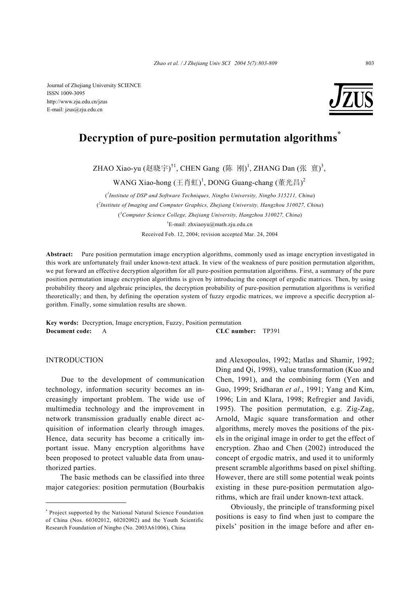Journal of Zhejiang University SCIENCE ISSN 1009-3095 http://www.zju.edu.cn/jzus E-mail: jzus@zju.edu.cn



# **Decryption of pure-position permutation algorithms\***

ZHAO Xiao-yu (赵晓宇)<sup>†1</sup>, CHEN Gang (陈 刚)<sup>1</sup>, ZHANG Dan (张 亶)<sup>3</sup>,

WANG Xiao-hong (王肖虹)  $^1$ , DONG Guang-chang (董光昌)  $^2$ 

( *1 Institute of DSP and Software Techniques, Ningbo University, Ningbo 315211, China*) ( *2 Institute of Imaging and Computer Graphics, Zhejiang University, Hangzhou 310027, China*) ( *3 Computer Science College, Zhejiang University, Hangzhou 310027, China*) † E-mail: zhxiaoyu@math.zju.edu.cn Received Feb. 12, 2004; revision accepted Mar. 24, 2004

**Abstract:** Pure position permutation image encryption algorithms, commonly used as image encryption investigated in this work are unfortunately frail under known-text attack. In view of the weakness of pure position permutation algorithm, we put forward an effective decryption algorithm for all pure-position permutation algorithms. First, a summary of the pure position permutation image encryption algorithms is given by introducing the concept of ergodic matrices. Then, by using probability theory and algebraic principles, the decryption probability of pure-position permutation algorithms is verified theoretically; and then, by defining the operation system of fuzzy ergodic matrices, we improve a specific decryption algorithm. Finally, some simulation results are shown.

**Key words:** Decryption, Image encryption, Fuzzy, Position permutation **Document code:** A **CLC number:** TP391

# INTRODUCTION

Due to the development of communication technology, information security becomes an increasingly important problem. The wide use of multimedia technology and the improvement in network transmission gradually enable direct acquisition of information clearly through images. Hence, data security has become a critically important issue. Many encryption algorithms have been proposed to protect valuable data from unauthorized parties.

The basic methods can be classified into three major categories: position permutation (Bourbakis

and Alexopoulos, 1992; Matlas and Shamir, 1992; Ding and Qi, 1998), value transformation (Kuo and Chen, 1991), and the combining form (Yen and Guo, 1999; Sridharan *et al*., 1991; Yang and Kim, 1996; Lin and Klara, 1998; Refregier and Javidi, 1995). The position permutation, e.g. Zig-Zag, Arnold, Magic square transformation and other algorithms, merely moves the positions of the pixels in the original image in order to get the effect of encryption. Zhao and Chen (2002) introduced the concept of ergodic matrix, and used it to uniformly present scramble algorithms based on pixel shifting. However, there are still some potential weak points existing in these pure-position permutation algorithms, which are frail under known-text attack.

Obviously, the principle of transforming pixel positions is easy to find when just to compare the pixels' position in the image before and after en-

<sup>\*</sup> Project supported by the National Natural Science Foundation of China (Nos. 60302012, 60202002) and the Youth Scientific Research Foundation of Ningbo (No. 2003A61006), China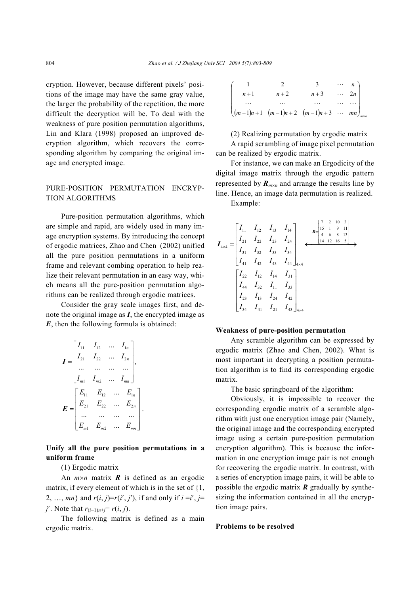cryption. However, because different pixels' positions of the image may have the same gray value, the larger the probability of the repetition, the more difficult the decryption will be. To deal with the weakness of pure position permutation algorithms, Lin and Klara (1998) proposed an improved decryption algorithm, which recovers the corresponding algorithm by comparing the original image and encrypted image.

# PURE-POSITION PERMUTATION ENCRYP-TION ALGORITHMS

Pure-position permutation algorithms, which are simple and rapid, are widely used in many image encryption systems. By introducing the concept of ergodic matrices, Zhao and Chen (2002) unified all the pure position permutations in a uniform frame and relevant combing operation to help realize their relevant permutation in an easy way, which means all the pure-position permutation algorithms can be realized through ergodic matrices.

Consider the gray scale images first, and denote the original image as *I*, the encrypted image as *E*, then the following formula is obtained:

$$
I = \begin{bmatrix} I_{11} & I_{12} & \cdots & I_{1n} \\ I_{21} & I_{22} & \cdots & I_{2n} \\ \cdots & \cdots & \cdots & \cdots \\ I_{m1} & I_{m2} & \cdots & I_{mn} \end{bmatrix},
$$

$$
E = \begin{bmatrix} E_{11} & E_{12} & \cdots & E_{1n} \\ E_{21} & E_{22} & \cdots & E_{2n} \\ \cdots & \cdots & \cdots & \cdots \\ E_{m1} & E_{m2} & \cdots & E_{mn} \end{bmatrix}.
$$

**Unify all the pure position permutations in a uniform frame** 

(1) Ergodic matrix

An *m*×*n* matrix *R* is defined as an ergodic matrix, if every element of which is in the set of {1, 2, ..., *mn*} and *r*(*i*, *j*)=*r*(*i'*, *j'*), if and only if  $i = i'$ , *j*= *j*<sup> $′$ </sup>. Note that  $r_{(i-1)n+j} = r(i, j)$ .

The following matrix is defined as a main ergodic matrix.

|       |       |                                                      | $\cdots$ n                            |
|-------|-------|------------------------------------------------------|---------------------------------------|
| $n+1$ | $n+2$ | $n+3$                                                | $\cdots$ 2n                           |
|       |       | $\cdots$                                             | $\left\vert \ldots \right\rangle$ and |
|       |       | $((m-1)n+1 (m-1)n+2 (m-1)n+3 \cdots mn)_{m\times n}$ |                                       |

(2) Realizing permutation by ergodic matrix A rapid scrambling of image pixel permutation can be realized by ergodic matrix.

For instance, we can make an Ergodicity of the digital image matrix through the ergodic pattern represented by  $\mathbf{R}_{m \times n}$  and arrange the results line by line. Hence, an image data permutation is realized.

Example:

$$
I_{4\times4} = \begin{bmatrix} I_{11} & I_{12} & I_{13} & I_{14} \\ I_{21} & I_{22} & I_{23} & I_{24} \\ I_{31} & I_{32} & I_{33} & I_{34} \\ I_{41} & I_{42} & I_{43} & I_{44} \end{bmatrix} \xrightarrow{\begin{bmatrix} 7 & 2 & 10 & 3 \\ 15 & 1 & 9 & 11 \\ 4 & 6 & 8 & 13 \\ 14 & 12 & 16 & 5 \end{bmatrix}}
$$

$$
\begin{bmatrix} I_{22} & I_{12} & I_{14} & I_{31} \\ I_{44} & I_{32} & I_{11} & I_{33} \\ I_{23} & I_{13} & I_{24} & I_{42} \\ I_{34} & I_{41} & I_{21} & I_{43} \end{bmatrix}_{4\times4}
$$

#### **Weakness of pure-position permutation**

Any scramble algorithm can be expressed by ergodic matrix (Zhao and Chen, 2002). What is most important in decrypting a position permutation algorithm is to find its corresponding ergodic matrix.

The basic springboard of the algorithm:

Obviously, it is impossible to recover the corresponding ergodic matrix of a scramble algorithm with just one encryption image pair (Namely, the original image and the corresponding encrypted image using a certain pure-position permutation encryption algorithm). This is because the information in one encryption image pair is not enough for recovering the ergodic matrix. In contrast, with a series of encryption image pairs, it will be able to possible the ergodic matrix *R* gradually by synthesizing the information contained in all the encryption image pairs.

#### **Problems to be resolved**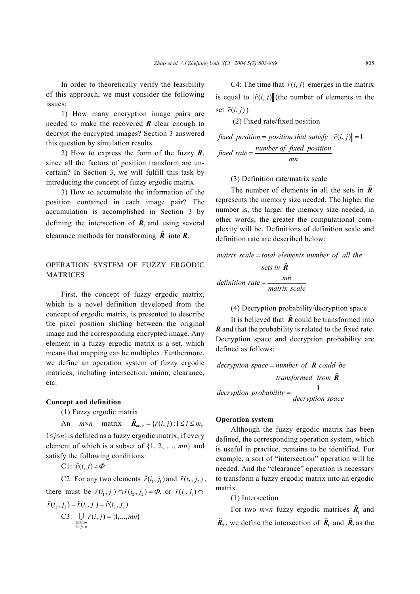In order to theoretically verify the feasibility of this approach, we must consider the following issues:

1) How many encryption image pairs are needed to make the recovered *R* clear enough to decrypt the encrypted images? Section 3 answered this question by simulation results.

2) How to express the form of the fuzzy *R*, since all the factors of position transform are uncertain? In Section 3, we will fulfill this task by introducing the concept of fuzzy ergodic matrix.

3) How to accumulate the information of the position contained in each image pair? The accumulation is accomplished in Section 3 by defining the intersection of  $\tilde{R}$ , and using several clearance methods for transforming  $\tilde{R}$  into  $R$ .

# OPERATION SYSTEM OF FUZZY ERGODIC MATRICES

First, the concept of fuzzy ergodic matrix, which is a novel definition developed from the concept of ergodic matrix, is presented to describe the pixel position shifting between the original image and the corresponding encrypted image. Any element in a fuzzy ergodic matrix is a set, which means that mapping can be multiplex. Furthermore, we define an operation system of fuzzy ergodic matrices, including intersection, union, clearance, etc.

### **Concept and definition**

(1) Fuzzy ergodic matrix

An  $m \times n$  matrix  ${\tilde{\bf R}}_{m \times n} = {\tilde{r}(i, j): 1 \le i \le m},$ 1≤*j*≤*n*}is defined as a fuzzy ergodic matrix, if every element of which is a subset of {1, 2, …, *mn*} and satisfy the following conditions:

$$
C1: \tilde{r}(i,j) \neq \varPhi
$$

C2: For any two elements  $\tilde{r}(i_1, j_1)$  and  $\tilde{r}(i_2, j_2)$ , there must be  $\tilde{r}(i_1, j_1) \cap \tilde{r}(i_2, j_2) = \Phi$ , or  $\tilde{r}(i_1, j_1) \cap$  $\tilde{r}(i_1, j_1) = \tilde{r}(i_1, j_1) = \tilde{r}(i_2, j_2)$ 

 $\text{C3:}$  $\bigcup_{\substack{i \le m \\ j \le n}} \tilde{r}(i, j) = \{1, ..., mn\}$  $\bigcup_{\substack{\leq i \leq m \\ \leq j \leq n}} \tilde{r}(i, j) = \{1, \dots, mn\}$  $\bigcup \ \tilde{r}(i, j) =$ 

C4: The time that  $\tilde{r}(i, j)$  emerges in the matrix is equal to  $\|\tilde{r}(i, j)\|$  (the number of elements in the set  $\tilde{r}(i, j)$ 

(2) Fixed rate/fixed position

*fixed position = position that satisfy*  $\|\tilde{r}(i, j)\| = 1$ *fixed rate* =  $\frac{number\ of\ fixed\ position}{mn}$ 

(3) Definition rate/matrix scale

The number of elements in all the sets in *R* represents the memory size needed. The higher the number is, the larger the memory size needed, in other words, the greater the computational complexity will be. Definitions of definition scale and definition rate are described below:

*matrix scale total elements number of all the* =

*sets in R mn definition rate matrix scale* <sup>=</sup>

(4) Decryption probability/decryption space

It is believed that  $\tilde{R}$  could be transformed into *R* and that the probability is related to the fixed rate. Decryption space and decryption probability are defined as follows:

decryption space = *number* of **R** could be *transformed from R*  $deryption\ probability = \frac{1}{decryation\ space}$ 

#### **Operation system**

Although the fuzzy ergodic matrix has been defined, the corresponding operation system, which is useful in practice, remains to be identified. For example, a sort of "intersection" operation will be needed. And the "clearance" operation is necessary to transform a fuzzy ergodic matrix into an ergodic matrix.

(1) Intersection

For two  $m \times n$  fuzzy ergodic matrices  $\tilde{R}_1$  and  $\tilde{R}_2$ , we define the intersection of  $\tilde{R}_1$  and  $\tilde{R}_2$  as the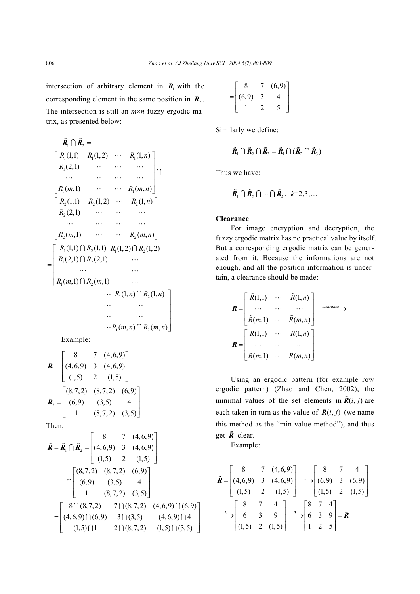intersection of arbitrary element in  $\tilde{R}_1$  with the corresponding element in the same position in  $\tilde{R}_2$ . The intersection is still an *m*×*n* fuzzy ergodic matrix, as presented below:

$$
\tilde{R}_1 \cap \tilde{R}_2 = \n\begin{bmatrix}\nR_1(1,1) & R_1(1,2) & \cdots & R_1(1,n) \\
R_1(2,1) & \cdots & \cdots & \cdots \\
\cdots & \cdots & \cdots & \cdots \\
R_1(m,1) & \cdots & \cdots & R_1(m,n)\n\end{bmatrix} \cap\n\begin{bmatrix}\nR_2(1,1) & R_2(1,2) & \cdots & R_2(1,n) \\
R_2(2,1) & \cdots & \cdots & \cdots \\
\cdots & \cdots & \cdots & \cdots \\
R_2(m,1) & \cdots & \cdots & R_2(m,n)\n\end{bmatrix}
$$
\n
$$
= \begin{bmatrix}\nR_1(1,1) \cap R_2(1,1) & R_1(1,2) \cap R_2(1,2) \\
R_1(2,1) \cap R_2(2,1) & \cdots \\
\cdots & \cdots & \cdots \\
R_1(m,1) \cap R_2(m,1) & \cdots \\
\cdots & \cdots & \cdots \\
\cdots & \cdots & \cdots \\
\cdots & \cdots & \cdots \\
\cdots & \cdots & \cdots \\
\cdots & \cdots & \cdots \\
\cdots & \cdots & \cdots \\
\cdots & \cdots & \cdots \\
\cdots & \cdots & \cdots \\
\cdots & \cdots & \cdots \\
\cdots & \cdots & \cdots \\
\cdots & \cdots & \cdots \\
\cdots & \cdots & \cdots \\
\cdots & \cdots & \cdots \\
\cdots & \cdots & \cdots \\
\cdots & \cdots & \cdots \\
\cdots & \cdots & \cdots \\
\cdots & \cdots & \cdots \\
\cdots & \cdots & \cdots \\
\cdots & \cdots & \cdots \\
\cdots & \cdots & \cdots \\
\cdots & \cdots & \cdots \\
\cdots & \cdots & \cdots \\
\cdots & \cdots & \cdots \\
\cdots & \cdots & \cdots \\
\cdots & \cdots & \cdots \\
\cdots & \cdots & \cdots \\
\cdots & \cdots & \cdots \\
\cdots & \cdots & \cdots \\
\cdots & \cdots & \cdots \\
\cdots & \cdots & \cdots \\
\cdots & \cdots & \cdots \\
\cdots & \cdots & \cdots \\
\cdots & \cdots & \cdots \\
\cdots & \cdots & \cdots \\
\cdots & \cdots & \cdots \\
\
$$

Example:

$$
\tilde{\mathbf{R}}_1 = \begin{bmatrix} 8 & 7 & (4,6,9) \\ (4,6,9) & 3 & (4,6,9) \\ (1,5) & 2 & (1,5) \end{bmatrix}
$$

$$
\tilde{\mathbf{R}}_2 = \begin{bmatrix} (8,7,2) & (8,7,2) & (6,9) \\ (6,9) & (3,5) & 4 \\ 1 & (8,7,2) & (3,5) \end{bmatrix}
$$

Then,

$$
\tilde{\mathbf{R}} = \tilde{\mathbf{R}}_1 \cap \tilde{\mathbf{R}}_2 = \begin{bmatrix} 8 & 7 & (4,6,9) \\ (4,6,9) & 3 & (4,6,9) \\ (1,5) & 2 & (1,5) \end{bmatrix}
$$

$$
\cap \begin{bmatrix} (8,7,2) & (8,7,2) & (6,9) \\ (6,9) & (3,5) & 4 \\ 1 & (8,7,2) & (3,5) \end{bmatrix}
$$

$$
= \begin{bmatrix} 8 \cap (8,7,2) & 7 \cap (8,7,2) & (4,6,9) \cap (6,9) \\ (4,6,9) \cap (6,9) & 3 \cap (3,5) & (4,6,9) \cap 4 \\ (1,5) \cap 1 & 2 \cap (8,7,2) & (1,5) \cap (3,5) \end{bmatrix}
$$

$$
= \begin{bmatrix} 8 & 7 & (6,9) \\ (6,9) & 3 & 4 \\ 1 & 2 & 5 \end{bmatrix}
$$

Similarly we define:

$$
\tilde{\bm{R}}_1 \cap \tilde{\bm{R}}_2 \cap \tilde{\bm{R}}_3 = \tilde{\bm{R}}_1 \cap (\tilde{\bm{R}}_2 \cap \tilde{\bm{R}}_3)
$$

Thus we have:

$$
\tilde{\bm{R}}_1 \cap \tilde{\bm{R}}_2 \cap \cdots \cap \tilde{\bm{R}}_k, \ k=2,3,\ldots
$$

#### **Clearance**

For image encryption and decryption, the fuzzy ergodic matrix has no practical value by itself. But a corresponding ergodic matrix can be generated from it. Because the informations are not enough, and all the position information is uncertain, a clearance should be made:

$$
\tilde{R} = \begin{bmatrix}\n\tilde{R}(1,1) & \cdots & \tilde{R}(1,n) \\
\vdots & \vdots & \ddots & \vdots \\
\tilde{R}(m,1) & \cdots & \tilde{R}(m,n)\n\end{bmatrix} \xrightarrow{clearance} \rightarrow
$$
\n
$$
R = \begin{bmatrix}\nR(1,1) & \cdots & R(1,n) \\
\vdots & \vdots & \ddots & \vdots \\
R(m,1) & \cdots & R(m,n)\n\end{bmatrix}
$$

Using an ergodic pattern (for example row ergodic pattern) (Zhao and Chen, 2002), the minimal values of the set elements in  $\tilde{R}(i, j)$  are each taken in turn as the value of  $R(i, j)$  (we name this method as the "min value method"), and thus get  $\tilde{R}$  clear.

Example:

$$
\tilde{R} = \begin{bmatrix} 8 & 7 & (4,6,9) \\ (4,6,9) & 3 & (4,6,9) \\ (1,5) & 2 & (1,5) \end{bmatrix} \longrightarrow \begin{bmatrix} 8 & 7 & 4 \\ (6,9) & 3 & (6,9) \\ (1,5) & 2 & (1,5) \end{bmatrix}
$$

$$
\longrightarrow \begin{bmatrix} 8 & 7 & 4 \\ 6 & 3 & 9 \\ (1,5) & 2 & (1,5) \end{bmatrix} \longrightarrow \begin{bmatrix} 8 & 7 & 4 \\ 6 & 3 & 9 \\ 1 & 2 & 5 \end{bmatrix} = R
$$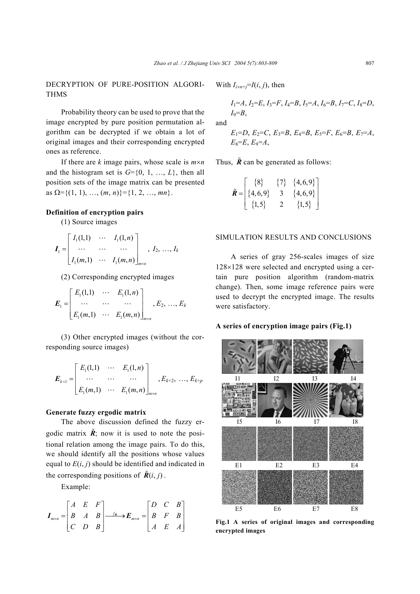DECRYPTION OF PURE-POSITION ALGORI-THMS

Probability theory can be used to prove that the image encrypted by pure position permutation algorithm can be decrypted if we obtain a lot of original images and their corresponding encrypted ones as reference.

If there are *k* image pairs, whose scale is *m*×*n* and the histogram set is  $G = \{0, 1, ..., L\}$ , then all position sets of the image matrix can be presented as  $\Omega = \{(1, 1), ..., (m, n)\} = \{1, 2, ..., mn\}.$ 

# **Definition of encryption pairs**

(1) Source images

$$
\boldsymbol{I}_{1} = \begin{bmatrix} I_{1}(1,1) & \cdots & I_{1}(1,n) \\ \cdots & \cdots & \cdots \\ I_{1}(m,1) & \cdots & I_{1}(m,n) \end{bmatrix}_{m \times n}, I_{2}, \ldots, I_{k}
$$

(2) Corresponding encrypted images

$$
E_1 = \begin{bmatrix} E_1(1,1) & \cdots & E_1(1,n) \\ \cdots & \cdots & \cdots \\ E_1(m,1) & \cdots & E_1(m,n) \end{bmatrix}_{m \times n}, E_2, \ldots, E_k
$$

(3) Other encrypted images (without the corresponding source images)

$$
E_{k+1} = \begin{bmatrix} E_1(1,1) & \cdots & E_1(1,n) \\ \cdots & \cdots & \cdots \\ E_1(m,1) & \cdots & E_1(m,n) \end{bmatrix}_{m \times n}, E_{k+2}, \ldots, E_{k+p}
$$

# **Generate fuzzy ergodic matrix**

The above discussion defined the fuzzy ergodic matrix  $\tilde{R}$ ; now it is used to note the positional relation among the image pairs. To do this, we should identify all the positions whose values equal to  $E(i, j)$  should be identified and indicated in the corresponding positions of  $\tilde{R}(i, j)$ .

Example:

$$
\boldsymbol{I}_{m \times n} = \begin{bmatrix} A & E & F \\ B & A & B \\ C & D & B \end{bmatrix} \xrightarrow{f_R} \boldsymbol{E}_{m \times n} = \begin{bmatrix} D & C & B \\ B & F & B \\ A & E & A \end{bmatrix}
$$

With  $I_{i \times n+j} = I(i, j)$ , then

$$
I_1=A, I_2=E, I_3=F, I_4=B, I_5=A, I_6=B, I_7=C, I_8=D, I_9=B,
$$

and

$$
E_1=D
$$
,  $E_2=C$ ,  $E_3=B$ ,  $E_4=B$ ,  $E_5=F$ ,  $E_6=B$ ,  $E_7=A$ ,  
 $E_8=E$ ,  $E_9=A$ ,

Thus,  $\tilde{R}$  can be generated as follows:

$$
\tilde{\mathbf{R}} = \begin{bmatrix} \{8\} & \{7\} & \{4,6,9\} \\ \{4,6,9\} & 3 & \{4,6,9\} \\ \{1,5\} & 2 & \{1,5\} \end{bmatrix}
$$

# SIMULATION RESULTS AND CONCLUSIONS

A series of gray 256-scales images of size 128×128 were selected and encrypted using a certain pure position algorithm (random-matrix change). Then, some image reference pairs were used to decrypt the encrypted image. The results were satisfactory.

## **A series of encryption image pairs (Fig.1)**



**Fig.1 A series of original images and corresponding encrypted images**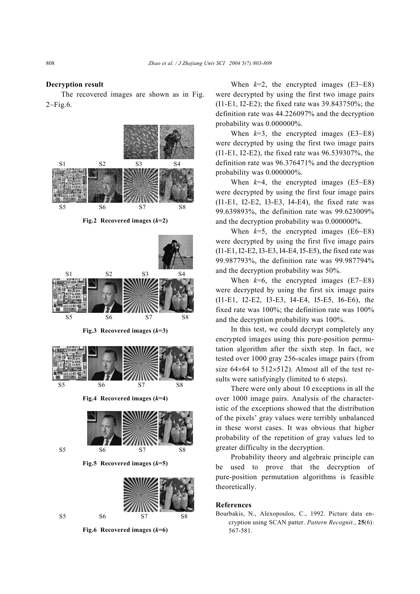#### **Decryption result**

The recovered images are shown as in Fig. 2−Fig.6.



When  $k=2$ , the encrypted images (E3 $\sim$ E8) were decrypted by using the first two image pairs (I1-E1, I2-E2); the fixed rate was 39.843750%; the definition rate was 44.226097% and the decryption probability was 0.000000%.

When  $k=3$ , the encrypted images  $(E3-E8)$ were decrypted by using the first two image pairs (I1-E1, I2-E2), the fixed rate was 96.539307%, the definition rate was 96.376471% and the decryption probability was 0.000000%.

When  $k=4$ , the encrypted images  $(E5 \sim E8)$ were decrypted by using the first four image pairs (I1-E1, I2-E2, I3-E3, I4-E4), the fixed rate was 99.639893%, the definition rate was 99.623009% and the decryption probability was 0.000000%.

When  $k=5$ , the encrypted images (E6~E8) were decrypted by using the first five image pairs (I1-E1, I2-E2, I3-E3, I4-E4, I5-E5), the fixed rate was 99.987793%, the definition rate was 99.987794% and the decryption probability was 50%.

When  $k=6$ , the encrypted images  $(E7 \sim E8)$ were decrypted by using the first six image pairs (I1-E1, I2-E2, I3-E3, I4-E4, I5-E5, I6-E6), the fixed rate was 100%; the definition rate was 100% and the decryption probability was 100%.

In this test, we could decrypt completely any encrypted images using this pure-position permutation algorithm after the sixth step. In fact, we tested over 1000 gray 256-scales image pairs (from size  $64\times64$  to  $512\times512$ ). Almost all of the test results were satisfyingly (limited to 6 steps).

There were only about 10 exceptions in all the over 1000 image pairs. Analysis of the characteristic of the exceptions showed that the distribution of the pixels' gray values were terribly unbalanced in these worst cases. It was obvious that higher probability of the repetition of gray values led to greater difficulty in the decryption.

Probability theory and algebraic principle can be used to prove that the decryption of pure-position permutation algorithms is feasible theoretically.

## **References**

Bourbakis, N., Alexopoulos, C., 1992. Picture data encryption using SCAN patter. *Pattern Recognit.*, **25**(6): 567-581.